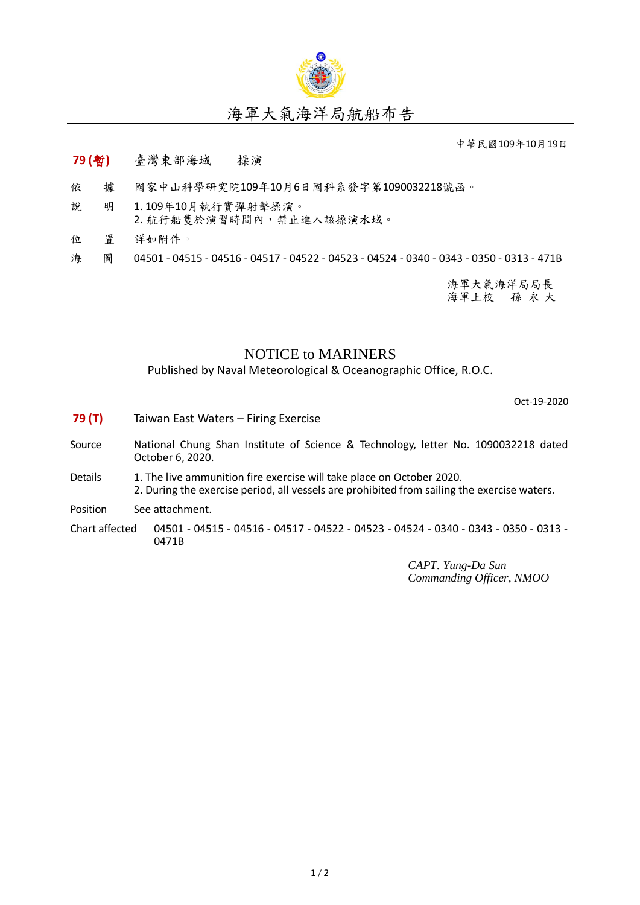

中華民國109年10月19日

## **79 (**暫**)** 臺灣東部海域 - 操演

- 依 據 國家中山科學研究院109年10月6日國科系發字第1090032218號函。
- 說 明 1. 109年10月執行實彈射擊操演。 2. 航行船隻於演習時間內,禁止進入該操演水域。
- 位 置 詳如附件。
- 海 圖 04501 04515 04516 04517 04522 04523 04524 0340 0343 0350 0313 471B

海軍大氣海洋局局長 海軍上校 孫 永 大

## NOTICE to MARINERS

Published by Naval Meteorological & Oceanographic Office, R.O.C.

Oct-19-2020

- **79 (T)** Taiwan East Waters Firing Exercise
- Source National Chung Shan Institute of Science & Technology, letter No. 1090032218 dated October 6, 2020.
- Details 1. The live ammunition fire exercise will take place on October 2020. 2. During the exercise period, all vessels are prohibited from sailing the exercise waters.
- Position See attachment.

Chart affected 04501 - 04515 - 04516 - 04517 - 04522 - 04523 - 04524 - 0340 - 0343 - 0350 - 0313 - 0471B

> *CAPT. Yung-Da Sun Commanding Officer, NMOO*